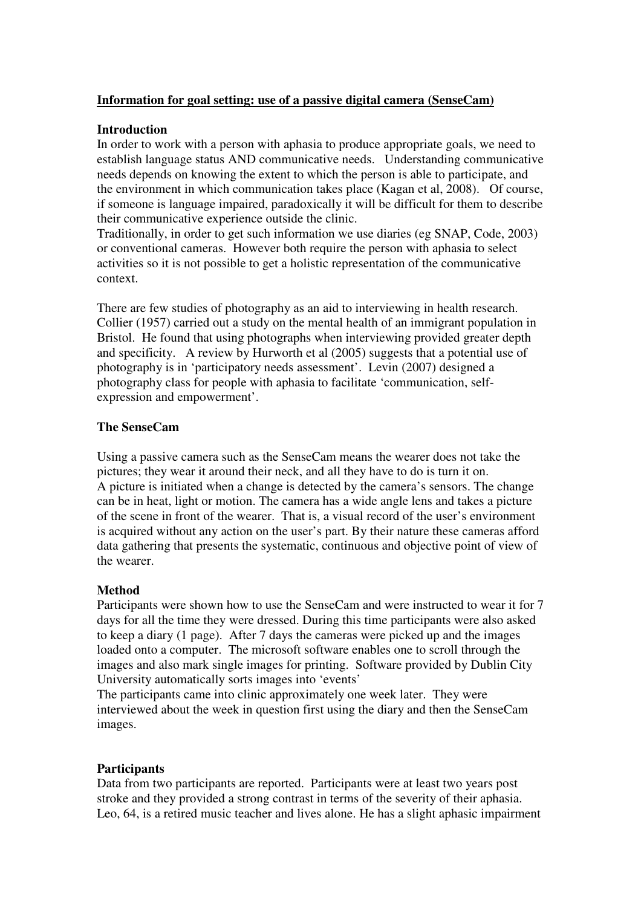## **Information for goal setting: use of a passive digital camera (SenseCam)**

## **Introduction**

In order to work with a person with aphasia to produce appropriate goals, we need to establish language status AND communicative needs. Understanding communicative needs depends on knowing the extent to which the person is able to participate, and the environment in which communication takes place (Kagan et al, 2008). Of course, if someone is language impaired, paradoxically it will be difficult for them to describe their communicative experience outside the clinic.

Traditionally, in order to get such information we use diaries (eg SNAP, Code, 2003) or conventional cameras. However both require the person with aphasia to select activities so it is not possible to get a holistic representation of the communicative context.

There are few studies of photography as an aid to interviewing in health research. Collier (1957) carried out a study on the mental health of an immigrant population in Bristol. He found that using photographs when interviewing provided greater depth and specificity. A review by Hurworth et al (2005) suggests that a potential use of photography is in 'participatory needs assessment'. Levin (2007) designed a photography class for people with aphasia to facilitate 'communication, selfexpression and empowerment'.

## **The SenseCam**

Using a passive camera such as the SenseCam means the wearer does not take the pictures; they wear it around their neck, and all they have to do is turn it on. A picture is initiated when a change is detected by the camera's sensors. The change can be in heat, light or motion. The camera has a wide angle lens and takes a picture of the scene in front of the wearer. That is, a visual record of the user's environment is acquired without any action on the user's part. By their nature these cameras afford data gathering that presents the systematic, continuous and objective point of view of the wearer.

## **Method**

Participants were shown how to use the SenseCam and were instructed to wear it for 7 days for all the time they were dressed. During this time participants were also asked to keep a diary (1 page). After 7 days the cameras were picked up and the images loaded onto a computer. The microsoft software enables one to scroll through the images and also mark single images for printing. Software provided by Dublin City University automatically sorts images into 'events'

The participants came into clinic approximately one week later. They were interviewed about the week in question first using the diary and then the SenseCam images.

## **Participants**

Data from two participants are reported. Participants were at least two years post stroke and they provided a strong contrast in terms of the severity of their aphasia. Leo, 64, is a retired music teacher and lives alone. He has a slight aphasic impairment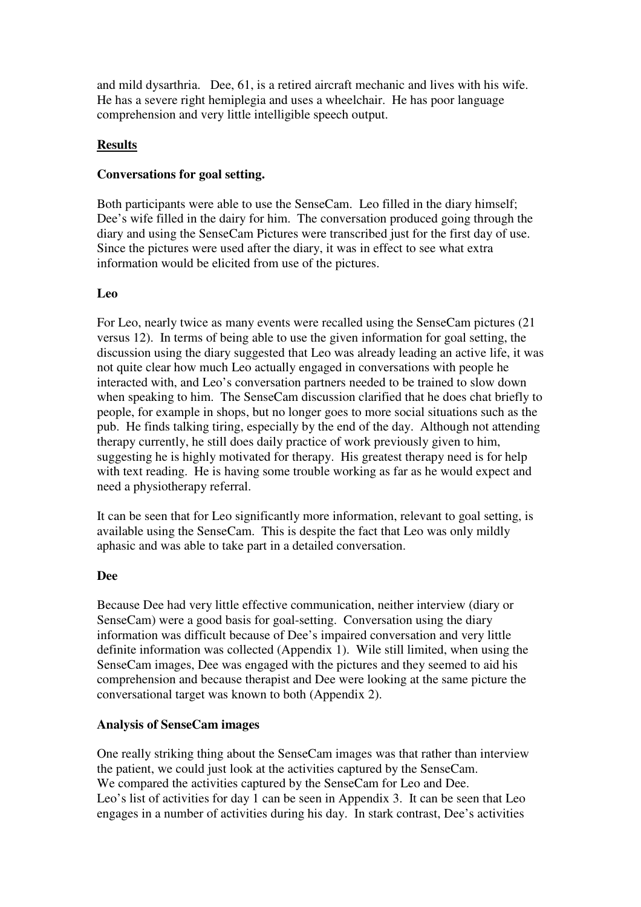and mild dysarthria. Dee, 61, is a retired aircraft mechanic and lives with his wife. He has a severe right hemiplegia and uses a wheelchair. He has poor language comprehension and very little intelligible speech output.

## **Results**

## **Conversations for goal setting.**

Both participants were able to use the SenseCam. Leo filled in the diary himself; Dee's wife filled in the dairy for him. The conversation produced going through the diary and using the SenseCam Pictures were transcribed just for the first day of use. Since the pictures were used after the diary, it was in effect to see what extra information would be elicited from use of the pictures.

## **Leo**

For Leo, nearly twice as many events were recalled using the SenseCam pictures (21 versus 12). In terms of being able to use the given information for goal setting, the discussion using the diary suggested that Leo was already leading an active life, it was not quite clear how much Leo actually engaged in conversations with people he interacted with, and Leo's conversation partners needed to be trained to slow down when speaking to him. The SenseCam discussion clarified that he does chat briefly to people, for example in shops, but no longer goes to more social situations such as the pub. He finds talking tiring, especially by the end of the day. Although not attending therapy currently, he still does daily practice of work previously given to him, suggesting he is highly motivated for therapy. His greatest therapy need is for help with text reading. He is having some trouble working as far as he would expect and need a physiotherapy referral.

It can be seen that for Leo significantly more information, relevant to goal setting, is available using the SenseCam. This is despite the fact that Leo was only mildly aphasic and was able to take part in a detailed conversation.

## **Dee**

Because Dee had very little effective communication, neither interview (diary or SenseCam) were a good basis for goal-setting. Conversation using the diary information was difficult because of Dee's impaired conversation and very little definite information was collected (Appendix 1). Wile still limited, when using the SenseCam images, Dee was engaged with the pictures and they seemed to aid his comprehension and because therapist and Dee were looking at the same picture the conversational target was known to both (Appendix 2).

## **Analysis of SenseCam images**

One really striking thing about the SenseCam images was that rather than interview the patient, we could just look at the activities captured by the SenseCam. We compared the activities captured by the SenseCam for Leo and Dee. Leo's list of activities for day 1 can be seen in Appendix 3. It can be seen that Leo engages in a number of activities during his day. In stark contrast, Dee's activities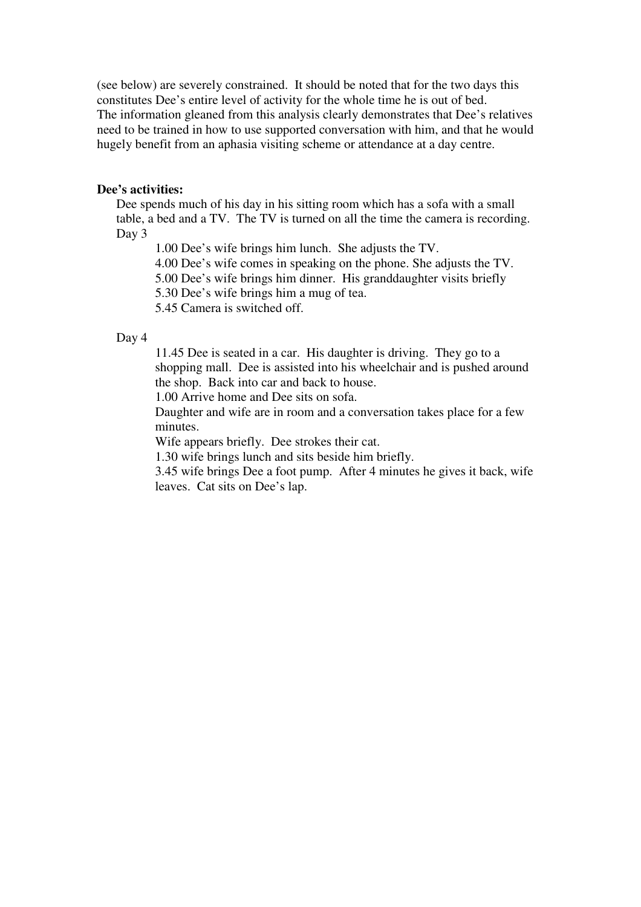(see below) are severely constrained. It should be noted that for the two days this constitutes Dee's entire level of activity for the whole time he is out of bed. The information gleaned from this analysis clearly demonstrates that Dee's relatives need to be trained in how to use supported conversation with him, and that he would hugely benefit from an aphasia visiting scheme or attendance at a day centre.

#### **Dee's activities:**

Dee spends much of his day in his sitting room which has a sofa with a small table, a bed and a TV. The TV is turned on all the time the camera is recording. Day 3

1.00 Dee's wife brings him lunch. She adjusts the TV.

4.00 Dee's wife comes in speaking on the phone. She adjusts the TV.

5.00 Dee's wife brings him dinner. His granddaughter visits briefly

5.30 Dee's wife brings him a mug of tea.

5.45 Camera is switched off.

#### Day 4

11.45 Dee is seated in a car. His daughter is driving. They go to a shopping mall. Dee is assisted into his wheelchair and is pushed around the shop. Back into car and back to house.

1.00 Arrive home and Dee sits on sofa.

Daughter and wife are in room and a conversation takes place for a few minutes.

Wife appears briefly. Dee strokes their cat.

1.30 wife brings lunch and sits beside him briefly.

3.45 wife brings Dee a foot pump. After 4 minutes he gives it back, wife leaves. Cat sits on Dee's lap.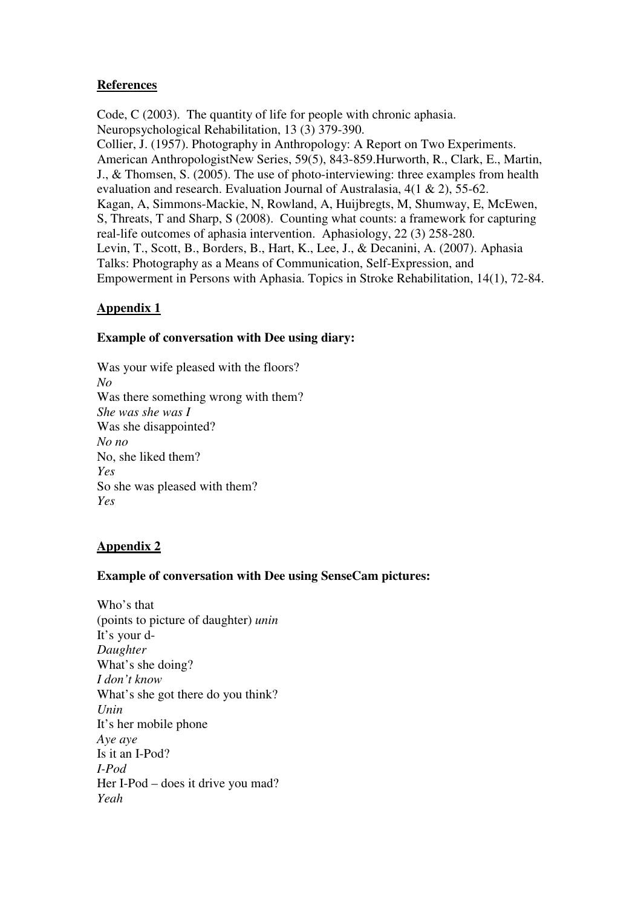## **References**

Code, C (2003). The quantity of life for people with chronic aphasia. Neuropsychological Rehabilitation, 13 (3) 379-390. Collier, J. (1957). Photography in Anthropology: A Report on Two Experiments. American AnthropologistNew Series, 59(5), 843-859.Hurworth, R., Clark, E., Martin, J., & Thomsen, S. (2005). The use of photo-interviewing: three examples from health evaluation and research. Evaluation Journal of Australasia, 4(1 & 2), 55-62. Kagan, A, Simmons-Mackie, N, Rowland, A, Huijbregts, M, Shumway, E, McEwen, S, Threats, T and Sharp, S (2008). Counting what counts: a framework for capturing real-life outcomes of aphasia intervention. Aphasiology, 22 (3) 258-280. Levin, T., Scott, B., Borders, B., Hart, K., Lee, J., & Decanini, A. (2007). Aphasia Talks: Photography as a Means of Communication, Self-Expression, and Empowerment in Persons with Aphasia. Topics in Stroke Rehabilitation, 14(1), 72-84.

# **Appendix 1**

## **Example of conversation with Dee using diary:**

Was your wife pleased with the floors? *No*  Was there something wrong with them? *She was she was I*  Was she disappointed? *No no*  No, she liked them? *Yes*  So she was pleased with them? *Yes* 

# **Appendix 2**

## **Example of conversation with Dee using SenseCam pictures:**

Who's that (points to picture of daughter) *unin*  It's your d-*Daughter*  What's she doing? *I don't know*  What's she got there do you think? *Unin*  It's her mobile phone *Aye aye*  Is it an I-Pod? *I-Pod*  Her I-Pod – does it drive you mad? *Yeah*